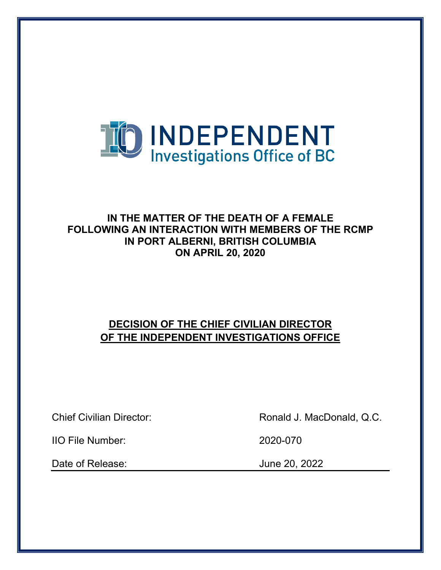

# **IN THE MATTER OF THE DEATH OF A FEMALE FOLLOWING AN INTERACTION WITH MEMBERS OF THE RCMP IN PORT ALBERNI, BRITISH COLUMBIA ON APRIL 20, 2020**

# **DECISION OF THE CHIEF CIVILIAN DIRECTOR OF THE INDEPENDENT INVESTIGATIONS OFFICE**

Chief Civilian Director: Ronald J. MacDonald, Q.C.

IIO File Number: 2020-070

Date of Release: June 20, 2022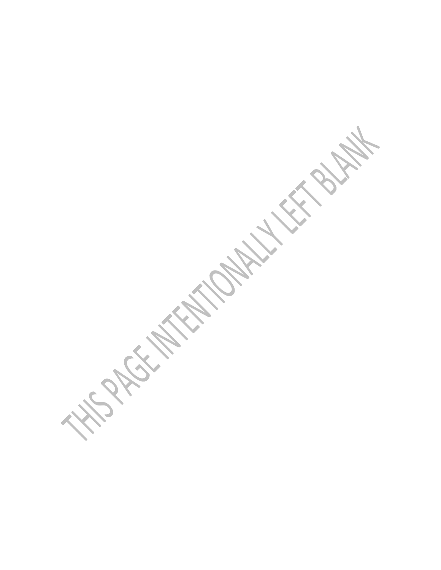Hispanish Maritim River Button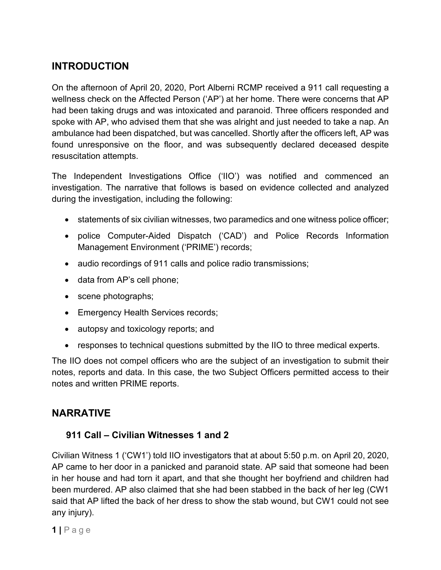# **INTRODUCTION**

On the afternoon of April 20, 2020, Port Alberni RCMP received a 911 call requesting a wellness check on the Affected Person ('AP') at her home. There were concerns that AP had been taking drugs and was intoxicated and paranoid. Three officers responded and spoke with AP, who advised them that she was alright and just needed to take a nap. An ambulance had been dispatched, but was cancelled. Shortly after the officers left, AP was found unresponsive on the floor, and was subsequently declared deceased despite resuscitation attempts.

The Independent Investigations Office ('IIO') was notified and commenced an investigation. The narrative that follows is based on evidence collected and analyzed during the investigation, including the following:

- statements of six civilian witnesses, two paramedics and one witness police officer;
- police Computer-Aided Dispatch ('CAD') and Police Records Information Management Environment ('PRIME') records;
- audio recordings of 911 calls and police radio transmissions;
- data from AP's cell phone;
- scene photographs;
- Emergency Health Services records;
- autopsy and toxicology reports; and
- responses to technical questions submitted by the IIO to three medical experts.

The IIO does not compel officers who are the subject of an investigation to submit their notes, reports and data. In this case, the two Subject Officers permitted access to their notes and written PRIME reports.

#### **NARRATIVE**

#### **911 Call – Civilian Witnesses 1 and 2**

Civilian Witness 1 ('CW1') told IIO investigators that at about 5:50 p.m. on April 20, 2020, AP came to her door in a panicked and paranoid state. AP said that someone had been in her house and had torn it apart, and that she thought her boyfriend and children had been murdered. AP also claimed that she had been stabbed in the back of her leg (CW1 said that AP lifted the back of her dress to show the stab wound, but CW1 could not see any injury).

 $1$   $\mid$   $P$   $a$   $g$   $e$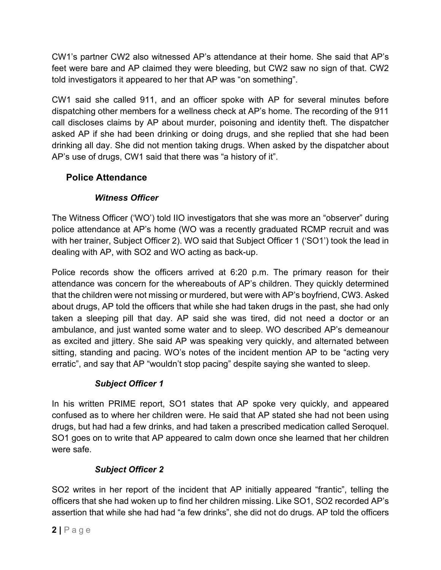CW1's partner CW2 also witnessed AP's attendance at their home. She said that AP's feet were bare and AP claimed they were bleeding, but CW2 saw no sign of that. CW2 told investigators it appeared to her that AP was "on something".

CW1 said she called 911, and an officer spoke with AP for several minutes before dispatching other members for a wellness check at AP's home. The recording of the 911 call discloses claims by AP about murder, poisoning and identity theft. The dispatcher asked AP if she had been drinking or doing drugs, and she replied that she had been drinking all day. She did not mention taking drugs. When asked by the dispatcher about AP's use of drugs, CW1 said that there was "a history of it".

### **Police Attendance**

#### *Witness Officer*

The Witness Officer ('WO') told IIO investigators that she was more an "observer" during police attendance at AP's home (WO was a recently graduated RCMP recruit and was with her trainer, Subject Officer 2). WO said that Subject Officer 1 ('SO1') took the lead in dealing with AP, with SO2 and WO acting as back-up.

Police records show the officers arrived at 6:20 p.m. The primary reason for their attendance was concern for the whereabouts of AP's children. They quickly determined that the children were not missing or murdered, but were with AP's boyfriend, CW3. Asked about drugs, AP told the officers that while she had taken drugs in the past, she had only taken a sleeping pill that day. AP said she was tired, did not need a doctor or an ambulance, and just wanted some water and to sleep. WO described AP's demeanour as excited and jittery. She said AP was speaking very quickly, and alternated between sitting, standing and pacing. WO's notes of the incident mention AP to be "acting very erratic", and say that AP "wouldn't stop pacing" despite saying she wanted to sleep.

#### *Subject Officer 1*

In his written PRIME report, SO1 states that AP spoke very quickly, and appeared confused as to where her children were. He said that AP stated she had not been using drugs, but had had a few drinks, and had taken a prescribed medication called Seroquel. SO1 goes on to write that AP appeared to calm down once she learned that her children were safe.

# *Subject Officer 2*

SO2 writes in her report of the incident that AP initially appeared "frantic", telling the officers that she had woken up to find her children missing. Like SO1, SO2 recorded AP's assertion that while she had had "a few drinks", she did not do drugs. AP told the officers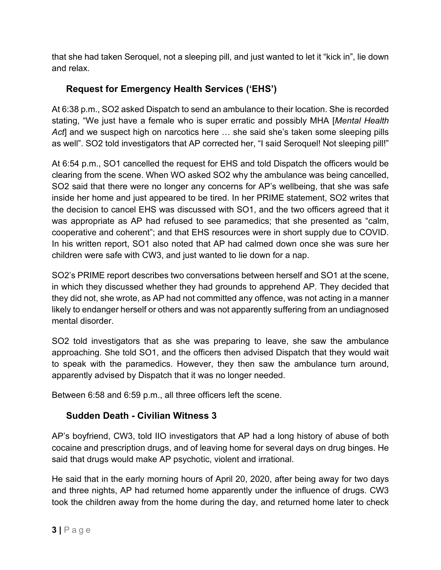that she had taken Seroquel, not a sleeping pill, and just wanted to let it "kick in", lie down and relax.

# **Request for Emergency Health Services ('EHS')**

At 6:38 p.m., SO2 asked Dispatch to send an ambulance to their location. She is recorded stating, "We just have a female who is super erratic and possibly MHA [*Mental Health Act*] and we suspect high on narcotics here … she said she's taken some sleeping pills as well". SO2 told investigators that AP corrected her, "I said Seroquel! Not sleeping pill!"

At 6:54 p.m., SO1 cancelled the request for EHS and told Dispatch the officers would be clearing from the scene. When WO asked SO2 why the ambulance was being cancelled, SO2 said that there were no longer any concerns for AP's wellbeing, that she was safe inside her home and just appeared to be tired. In her PRIME statement, SO2 writes that the decision to cancel EHS was discussed with SO1, and the two officers agreed that it was appropriate as AP had refused to see paramedics; that she presented as "calm, cooperative and coherent"; and that EHS resources were in short supply due to COVID. In his written report, SO1 also noted that AP had calmed down once she was sure her children were safe with CW3, and just wanted to lie down for a nap.

SO2's PRIME report describes two conversations between herself and SO1 at the scene, in which they discussed whether they had grounds to apprehend AP. They decided that they did not, she wrote, as AP had not committed any offence, was not acting in a manner likely to endanger herself or others and was not apparently suffering from an undiagnosed mental disorder.

SO2 told investigators that as she was preparing to leave, she saw the ambulance approaching. She told SO1, and the officers then advised Dispatch that they would wait to speak with the paramedics. However, they then saw the ambulance turn around, apparently advised by Dispatch that it was no longer needed.

Between 6:58 and 6:59 p.m., all three officers left the scene.

# **Sudden Death - Civilian Witness 3**

AP's boyfriend, CW3, told IIO investigators that AP had a long history of abuse of both cocaine and prescription drugs, and of leaving home for several days on drug binges. He said that drugs would make AP psychotic, violent and irrational.

He said that in the early morning hours of April 20, 2020, after being away for two days and three nights, AP had returned home apparently under the influence of drugs. CW3 took the children away from the home during the day, and returned home later to check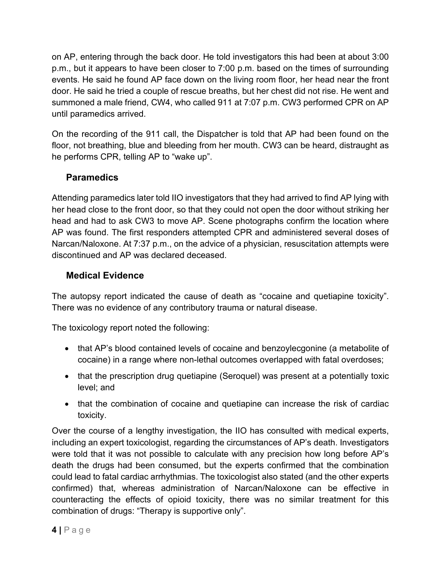on AP, entering through the back door. He told investigators this had been at about 3:00 p.m., but it appears to have been closer to 7:00 p.m. based on the times of surrounding events. He said he found AP face down on the living room floor, her head near the front door. He said he tried a couple of rescue breaths, but her chest did not rise. He went and summoned a male friend, CW4, who called 911 at 7:07 p.m. CW3 performed CPR on AP until paramedics arrived.

On the recording of the 911 call, the Dispatcher is told that AP had been found on the floor, not breathing, blue and bleeding from her mouth. CW3 can be heard, distraught as he performs CPR, telling AP to "wake up".

#### **Paramedics**

Attending paramedics later told IIO investigators that they had arrived to find AP lying with her head close to the front door, so that they could not open the door without striking her head and had to ask CW3 to move AP. Scene photographs confirm the location where AP was found. The first responders attempted CPR and administered several doses of Narcan/Naloxone. At 7:37 p.m., on the advice of a physician, resuscitation attempts were discontinued and AP was declared deceased.

#### **Medical Evidence**

The autopsy report indicated the cause of death as "cocaine and quetiapine toxicity". There was no evidence of any contributory trauma or natural disease.

The toxicology report noted the following:

- that AP's blood contained levels of cocaine and benzoylecgonine (a metabolite of cocaine) in a range where non-lethal outcomes overlapped with fatal overdoses;
- that the prescription drug quetiapine (Seroquel) was present at a potentially toxic level; and
- that the combination of cocaine and quetiapine can increase the risk of cardiac toxicity.

Over the course of a lengthy investigation, the IIO has consulted with medical experts, including an expert toxicologist, regarding the circumstances of AP's death. Investigators were told that it was not possible to calculate with any precision how long before AP's death the drugs had been consumed, but the experts confirmed that the combination could lead to fatal cardiac arrhythmias. The toxicologist also stated (and the other experts confirmed) that, whereas administration of Narcan/Naloxone can be effective in counteracting the effects of opioid toxicity, there was no similar treatment for this combination of drugs: "Therapy is supportive only".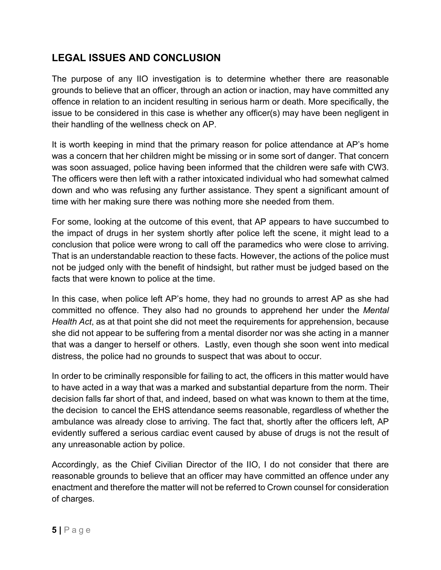# **LEGAL ISSUES AND CONCLUSION**

The purpose of any IIO investigation is to determine whether there are reasonable grounds to believe that an officer, through an action or inaction, may have committed any offence in relation to an incident resulting in serious harm or death. More specifically, the issue to be considered in this case is whether any officer(s) may have been negligent in their handling of the wellness check on AP.

It is worth keeping in mind that the primary reason for police attendance at AP's home was a concern that her children might be missing or in some sort of danger. That concern was soon assuaged, police having been informed that the children were safe with CW3. The officers were then left with a rather intoxicated individual who had somewhat calmed down and who was refusing any further assistance. They spent a significant amount of time with her making sure there was nothing more she needed from them.

For some, looking at the outcome of this event, that AP appears to have succumbed to the impact of drugs in her system shortly after police left the scene, it might lead to a conclusion that police were wrong to call off the paramedics who were close to arriving. That is an understandable reaction to these facts. However, the actions of the police must not be judged only with the benefit of hindsight, but rather must be judged based on the facts that were known to police at the time.

In this case, when police left AP's home, they had no grounds to arrest AP as she had committed no offence. They also had no grounds to apprehend her under the *Mental Health Act*, as at that point she did not meet the requirements for apprehension, because she did not appear to be suffering from a mental disorder nor was she acting in a manner that was a danger to herself or others. Lastly, even though she soon went into medical distress, the police had no grounds to suspect that was about to occur.

In order to be criminally responsible for failing to act, the officers in this matter would have to have acted in a way that was a marked and substantial departure from the norm. Their decision falls far short of that, and indeed, based on what was known to them at the time, the decision to cancel the EHS attendance seems reasonable, regardless of whether the ambulance was already close to arriving. The fact that, shortly after the officers left, AP evidently suffered a serious cardiac event caused by abuse of drugs is not the result of any unreasonable action by police.

Accordingly, as the Chief Civilian Director of the IIO, I do not consider that there are reasonable grounds to believe that an officer may have committed an offence under any enactment and therefore the matter will not be referred to Crown counsel for consideration of charges.